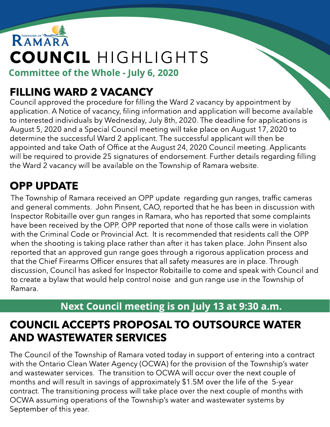# RAMARA COUNCIL HIGHLIGHTS Committee of the Whole - July 6, 2020

### FILLING WARD 2 VACANCY

Council approved the procedure for filling the Ward 2 vacancy by appointment by application. A Notice of vacancy, filing information and application will become available to interested individuals by Wednesday, July 8th, 2020. The deadline for applications is August 5, 2020 and a Special Council meeting will take place on August 17, 2020 to determine the successful Ward 2 applicant. The successful applicant will then be appointed and take Oath of Office at the August 24, 2020 Council meeting. Applicants will be required to provide 25 signatures of endorsement. Further details regarding filling the Ward 2 vacancy will be available on the Township of Ramara website.

### OPP UPDATE

The Township of Ramara received an OPP update regarding gun ranges, traffic cameras and general comments. John Pinsent, CAO, reported that he has been in discussion with Inspector Robitaille over gun ranges in Ramara, who has reported that some complaints have been received by the OPP. OPP reported that none of those calls were in violation with the Criminal Code or Provincial Act. It is recommended that residents call the OPP when the shooting is taking place rather than after it has taken place. John Pinsent also reported that an approved gun range goes through a rigorous application process and that the Chief Firearms Officer ensures that all safety measures are in place. Through discussion, Council has asked for Inspector Robitaille to come and speak with Council and to create a bylaw that would help control noise and gun range use in the Township of Ramara.

#### Next Council meeting is on July 13 at 9:30 a.m.

### COUNCIL ACCEPTS PROPOSAL TO OUTSOURCE WATER AND WASTEWATER SERVICES

The Council of the Township of Ramara voted today in support of entering into a contract with the Ontario Clean Water Agency (OCWA) for the provision of the Township's water and wastewater services. The transition to OCWA will occur over the next couple of months and will result in savings of approximately \$1.5M over the life of the 5-year contract. The transitioning process will take place over the next couple of months with OCWA assuming operations of the Township?s water and wastewater systems by September of this year.